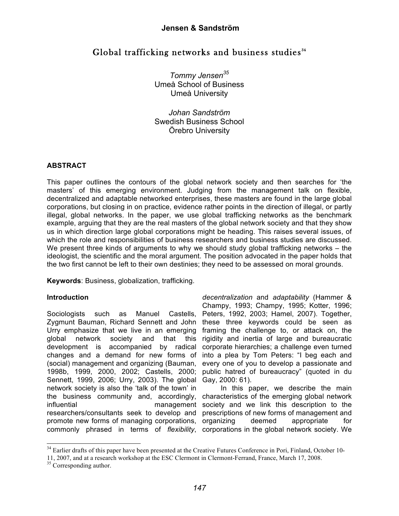# Global trafficking networks and business studies<sup>34</sup>

*Tommy Jensen35* Umeå School of Business Umeå University

*Johan Sandström* Swedish Business School Örebro University

#### **ABSTRACT**

This paper outlines the contours of the global network society and then searches for 'the masters' of this emerging environment. Judging from the management talk on flexible, decentralized and adaptable networked enterprises, these masters are found in the large global corporations, but closing in on practice, evidence rather points in the direction of illegal, or partly illegal, global networks. In the paper, we use global trafficking networks as the benchmark example, arguing that they are the real masters of the global network society and that they show us in which direction large global corporations might be heading. This raises several issues, of which the role and responsibilities of business researchers and business studies are discussed. We present three kinds of arguments to why we should study global trafficking networks – the ideologist, the scientific and the moral argument. The position advocated in the paper holds that the two first cannot be left to their own destinies; they need to be assessed on moral grounds.

**Keywords**: Business, globalization, trafficking.

## **Introduction**

Sociologists such as Manuel Castells, Zygmunt Bauman, Richard Sennett and John these three keywords could be seen as Urry emphasize that we live in an emerging global network society and that this development is accompanied by radical changes and a demand for new forms of (social) management and organizing (Bauman, 1998b, 1999, 2000, 2002; Castells, 2000; Sennett, 1999, 2006; Urry, 2003). The global Gay, 2000: 61). network society is also the 'talk of the town' in the business community and, accordingly, influential management society and we link this description to the researchers/consultants seek to develop and promote new forms of managing corporations, commonly phrased in terms of *flexibility*, corporations in the global network society. We

*decentralization* and *adaptability* (Hammer & Champy, 1993; Champy, 1995; Kotter, 1996; Peters, 1992, 2003; Hamel, 2007). Together, framing the challenge to, or attack on, the rigidity and inertia of large and bureaucratic corporate hierarchies; a challenge even turned into a plea by Tom Peters: "I beg each and every one of you to develop a passionate and public hatred of bureaucracy" (quoted in du

In this paper, we describe the main characteristics of the emerging global network prescriptions of new forms of management and deemed appropriate for

<sup>&</sup>lt;sup>34</sup> Earlier drafts of this paper have been presented at the Creative Futures Conference in Pori, Finland, October 10-

<sup>11,</sup> 2007, and at <sup>a</sup> research workshop at the ESC Clermont in Clermont-Ferrand, France, March 17, 2008. <sup>35</sup> Corresponding author.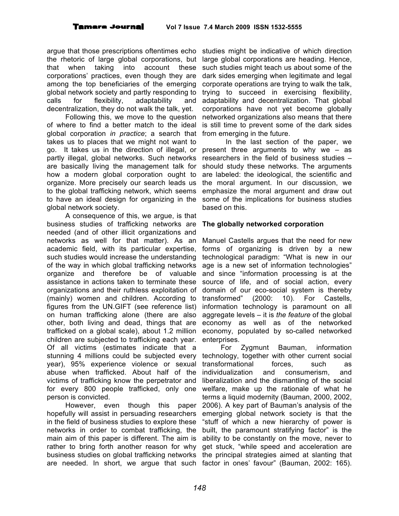argue that those prescriptions oftentimes echo studies might be indicative of which direction the rhetoric of large global corporations, but large global corporations are heading. Hence, that when taking into account these corporations' practices, even though they are among the top beneficiaries of the emerging global network society and partly responding to calls for flexibility, adaptability and decentralization, they do not walk the talk, yet.

Following this, we move to the question of where to find a better match to the ideal global corporation *in practice*; a search that takes us to places that we might not want to go. It takes us in the direction of illegal, or partly illegal, global networks. Such networks are basically living the management talk for how a modern global corporation ought to organize. More precisely our search leads us to the global trafficking network, which seems to have an ideal design for organizing in the global network society.

A consequence of this, we argue, is that business studies of trafficking networks are needed (and of other illicit organizations and networks as well for that matter). As an academic field, with its particular expertise, such studies would increase the understanding of the way in which global trafficking networks organize and therefore be of valuable assistance in actions taken to terminate these organizations and their ruthless exploitation of (mainly) women and children. According to figures from the UN.GIFT (see reference list) on human trafficking alone (there are also other, both living and dead, things that are trafficked on a global scale), about 1.2 million children are subjected to trafficking each year. Of all victims (estimates indicate that a stunning 4 millions could be subjected every year), 95% experience violence or sexual abuse when trafficked. About half of the victims of trafficking know the perpetrator and for every 800 people trafficked, only one person is convicted.

However, even though this paper hopefully will assist in persuading researchers in the field of business studies to explore these networks in order to combat trafficking, the main aim of this paper is different. The aim is rather to bring forth another reason for why business studies on global trafficking networks the principal strategies aimed at slanting that are needed. In short, we argue that such factor in ones' favour" (Bauman, 2002: 165).

such studies might teach us about some of the dark sides emerging when legitimate and legal corporate operations are trying to walk the talk, trying to succeed in exercising flexibility, adaptability and decentralization. That global corporations have not yet become globally networked organizations also means that there is still time to prevent some of the dark sides from emerging in the future.

In the last section of the paper, we present three arguments to why we – as researchers in the field of business studies – should study these networks. The arguments are labeled: the ideological, the scientific and the moral argument. In our discussion, we emphasize the moral argument and draw out some of the implications for business studies based on this.

#### **The globally networked corporation**

Manuel Castells argues that the need for new forms of organizing is driven by a new technological paradigm: "What is new in our age is a new set of information technologies" and since "information processing is at the source of life, and of social action, every domain of our eco-social system is thereby transformed" (2000: 10). For Castells, information technology is paramount on all aggregate levels – it is *the feature* of the global economy as well as of the networked economy, populated by so-called networked enterprises.

For Zygmunt Bauman, information technology, together with other current social transformational forces, such as individualization and consumerism, and liberalization and the dismantling of the social welfare, make up the rationale of what he terms a liquid modernity (Bauman, 2000, 2002, 2006). A key part of Bauman's analysis of the emerging global network society is that the "stuff of which a new hierarchy of power is built, the paramount stratifying factor" is the ability to be constantly on the move, never to get stuck, "while speed and acceleration are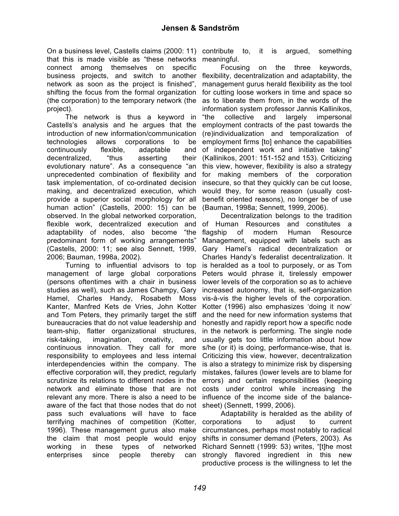On a business level, Castells claims (2000: 11) contribute to, it is argued, something that this is made visible as "these networks meaningful. connect among themselves on specific business projects, and switch to another flexibility, decentralization and adaptability, the network as soon as the project is finished", shifting the focus from the formal organization (the corporation) to the temporary network (the as to liberate them from, in the words of the project).

The network is thus a keyword in Castells's analysis and he argues that the introduction of new information/communication technologies allows corporations to be continuously flexible, adaptable and decentralized, "thus asserting their evolutionary nature". As a consequence "an unprecedented combination of flexibility and task implementation, of co-ordinated decision making, and decentralized execution, which provide a superior social morphology for all human action" (Castells, 2000: 15) can be observed. In the global networked corporation, flexible work, decentralized execution and of Human Resources and constitutes a adaptability of nodes, also become "the predominant form of working arrangements" (Castells, 2000: 11; see also Sennett, 1999, 2006; Bauman, 1998a, 2002).

Turning to influential advisors to top management of large global corporations (persons oftentimes with a chair in business studies as well), such as James Champy, Gary Hamel, Charles Handy, Rosabeth Moss Kanter, Manfred Kets de Vries, John Kotter and Tom Peters, they primarily target the stiff bureaucracies that do not value leadership and team-ship, flatter organizational structures, risk-taking, imagination, creativity, and continuous innovation. They call for more responsibility to employees and less internal interdependencies within the company. The effective corporation will, they predict, regularly scrutinize its relations to different nodes in the errors) and certain responsibilities (keeping network and eliminate those that are not costs under control while increasing the relevant any more. There is also a need to be aware of the fact that those nodes that do not pass such evaluations will have to face terrifying machines of competition (Kotter, corporations to adjust to current 1996). These management gurus also make the claim that most people would enjoy working in these types of networked enterprises since people thereby can

Focusing on the three keywords, management gurus herald flexibility as the tool for cutting loose workers in time and space so information system professor Jannis Kallinikos, "the collective and largely impersonal employment contracts of the past towards the (re)individualization and temporalization of employment firms [to] enhance the capabilities of independent work and initiative taking" (Kallinikos, 2001: 151-152 and 153). Criticizing this view, however, flexibility is also a strategy for making members of the corporation insecure, so that they quickly can be cut loose, would they, for some reason (usually costbenefit oriented reasons), no longer be of use (Bauman, 1998a; Sennett, 1999, 2006).

Decentralization belongs to the tradition flagship of modern Human Resource Management, equipped with labels such as Gary Hamel's radical decentralization or Charles Handy's federalist decentralization. It is heralded as a tool to purposely, or as Tom Peters would phrase it, tirelessly empower lower levels of the corporation so as to achieve increased autonomy, that is, self-organization vis-à-vis the higher levels of the corporation. Kotter (1996) also emphasizes 'doing it now' and the need for new information systems that honestly and rapidly report how a specific node in the network is performing. The single node usually gets too little information about how s/he (or it) is doing, performance-wise, that is. Criticizing this view, however, decentralization is also a strategy to minimize risk by dispersing mistakes, failures (lower levels are to blame for influence of the income side of the balancesheet) (Sennett, 1999, 2006).

Adaptability is heralded as the ability of circumstances, perhaps most notably to radical shifts in consumer demand (Peters, 2003). As Richard Sennett (1999: 53) writes, "[t]he most strongly flavored ingredient in this new productive process is the willingness to let the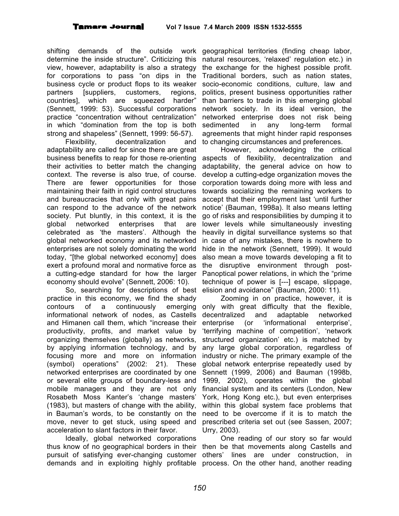shifting demands of the outside work geographical territories (finding cheap labor, determine the inside structure". Criticizing this view, however, adaptability is also a strategy for corporations to pass "on dips in the business cycle or product flops to its weaker partners [suppliers, customers, regions, countries], which are squeezed harder" (Sennett, 1999: 53). Successful corporations practice "concentration without centralization" in which "domination from the top is both strong and shapeless" (Sennett, 1999: 56-57).

Flexibility, decentralization and adaptability are called for since there are great business benefits to reap for those re-orienting their activities to better match the changing context. The reverse is also true, of course. There are fewer opportunities for those maintaining their faith in rigid control structures and bureaucracies that only with great pains can respond to the advance of the network society. Put bluntly, in this context, it is the global networked enterprises that are celebrated as 'the masters'. Although the global networked economy and its networked enterprises are not solely dominating the world today, "[the global networked economy] does exert a profound moral and normative force as the disruptive environment through posta cutting-edge standard for how the larger economy should evolve" (Sennett, 2006: 10).

So, searching for descriptions of best elision and avoidance" (Bauman, 2000: 11). practice in this economy, we find the shady contours of a continuously informational network of nodes, as Castells and Himanen call them, which "increase their productivity, profits, and market value by organizing themselves (globally) as networks, by applying information technology, and by focusing more and more on information (symbol) operations" (2002: 21). These networked enterprises are coordinated by one or several elite groups of boundary-less and mobile managers and they are not only Rosabeth Moss Kanter's 'change masters' (1983), but masters of change with the ability, in Bauman's words, to be constantly on the move, never to get stuck, using speed and acceleration to slant factors in their favor.

Ideally, global networked corporations thus know of no geographical borders in their then be that movements along Castells and pursuit of satisfying ever-changing customer others' lines are under construction, in demands and in exploiting highly profitable process. On the other hand, another reading

natural resources, 'relaxed' regulation etc.) in the exchange for the highest possible profit. Traditional borders, such as nation states, socio-economic conditions, culture, law and politics, present business opportunities rather than barriers to trade in this emerging global network society. In its ideal version, the networked enterprise does not risk being sedimented in any long-term formal agreements that might hinder rapid responses to changing circumstances and preferences.

However, acknowledging the critical aspects of flexibility, decentralization and adaptability, the general advice on how to develop a cutting-edge organization moves the corporation towards doing more with less and towards socializing the remaining workers to accept that their employment last 'until further notice' (Bauman, 1998a). It also means letting go of risks and responsibilities by dumping it to lower levels while simultaneously investing heavily in digital surveillance systems so that in case of any mistakes, there is nowhere to hide in the network (Sennett, 1999). It would also mean a move towards developing a fit to Panoptical power relations, in which the "prime technique of power is [---] escape, slippage,

Zooming in on practice, however, it is emerging only with great difficulty that the flexible, decentralized and adaptable networked enterprise (or 'informational enterprise', 'terrifying machine of competition', 'network structured organization' etc.) is matched by any large global corporation, regardless of industry or niche. The primary example of the global network enterprise repeatedly used by Sennett (1999, 2006) and Bauman (1998b, 1999, 2002), operates within the global financial system and its centers (London, New York, Hong Kong etc.), but even enterprises within this global system face problems that need to be overcome if it is to match the prescribed criteria set out (see Sassen, 2007; Urry, 2003).

One reading of our story so far would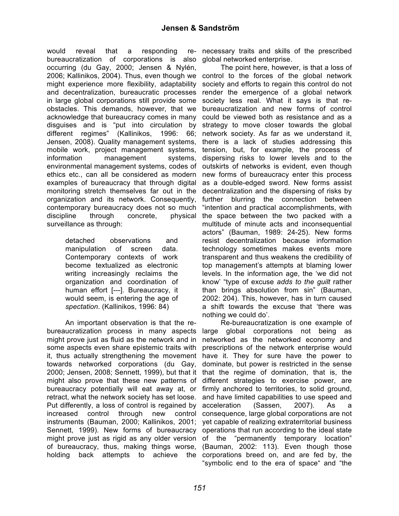would reveal that a responding bureaucratization of corporations is also global networked enterprise. occurring (du Gay, 2000; Jensen & Nylén, 2006; Kallinikos, 2004). Thus, even though we control to the forces of the global network might experience more flexibility, adaptability and decentralization, bureaucratic processes render the emergence of a global network in large global corporations still provide some obstacles. This demands, however, that we acknowledge that bureaucracy comes in many disguises and is "put into circulation by different regimes" (Kallinikos, 1996: 66; Jensen, 2008). Quality management systems, mobile work, project management systems, information management systems, environmental management systems, codes of ethics etc., can all be considered as modern examples of bureaucracy that through digital monitoring stretch themselves far out in the decentralization and the dispersing of risks by organization and its network. Consequently, contemporary bureaucracy does not so much discipline through concrete, surveillance as through:

detached observations and manipulation of screen data. Contemporary contexts of work become textualized as electronic writing increasingly reclaims the organization and coordination of human effort [---]. Bureaucracy, it would seem, is entering the age of *spectation*. (Kallinikos, 1996: 84)

An important observation is that the rebureaucratization process in many aspects might prove just as fluid as the network and in some aspects even share epistemic traits with it, thus actually strengthening the movement have it. They for sure have the power to towards networked corporations (du Gay, 2000; Jensen, 2008; Sennett, 1999), but that it that the regime of domination, that is, the might also prove that these new patterns of different strategies to exercise power, are bureaucracy potentially will eat away at, or firmly anchored to territories, to solid ground, retract, what the network society has set loose. Put differently, a loss of control is regained by increased control through new instruments (Bauman, 2000; Kallinikos, 2001; yet capable of realizing extraterritorial business Sennett, 1999). New forms of bureaucracy operations that run according to the ideal state might prove just as rigid as any older version of the "permanently temporary location" of bureaucracy, thus, making things worse, (Bauman, 2002: 113). Even though those holding back attempts to achieve the corporations breed on, and are fed by, the

necessary traits and skills of the prescribed

The point here, however, is that a loss of society and efforts to regain this control do not society less real. What it says is that rebureaucratization and new forms of control could be viewed both as resistance and as a strategy to move closer towards the global network society. As far as we understand it, there is a lack of studies addressing this tension, but, for example, the process of dispersing risks to lower levels and to the outskirts of networks is evident, even though new forms of bureaucracy enter this process as a double-edged sword. New forms assist further blurring the connection between "intention and practical accomplishments, with physical the space between the two packed with a multitude of minute acts and inconsequential actors" (Bauman, 1989: 24-25). New forms resist decentralization because information technology sometimes makes events more transparent and thus weakens the credibility of top management's attempts at blaming lower levels. In the information age, the 'we did not know' "type of excuse *adds to the guilt* rather than brings absolution from sin" (Bauman, 2002: 204). This, however, has in turn caused a shift towards the excuse that 'there was nothing we could do'.

Re-bureaucratization is one example of large global corporations not being as networked as the networked economy and prescriptions of the network enterprise would dominate, but power is restricted in the sense and have limited capabilities to use speed and acceleration (Sassen, 2007). As a control consequence, large global corporations are not "symbolic end to the era of space" and "the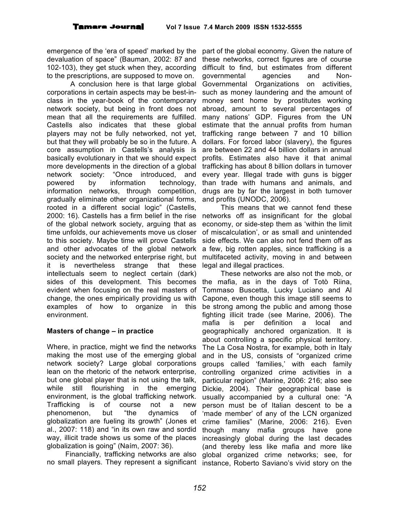emergence of the 'era of speed' marked by the devaluation of space" (Bauman, 2002: 87 and 102-103), they get stuck when they, according to the prescriptions, are supposed to move on.

A conclusion here is that large global corporations in certain aspects may be best-inclass in the year-book of the contemporary network society, but being in front does not mean that all the requirements are fulfilled. Castells also indicates that these global players may not be fully networked, not yet, but that they will probably be so in the future. A core assumption in Castells's analysis is basically evolutionary in that we should expect more developments in the direction of a global network society: "Once introduced, and powered by information technology, information networks, through competition, gradually eliminate other organizational forms, rooted in a different social logic" (Castells, 2000: 16). Castells has a firm belief in the rise networks off as insignificant for the global of the global network society, arguing that as time unfolds, our achievements move us closer to this society. Maybe time will prove Castells and other advocates of the global network society and the networked enterprise right, but multifaceted activity, moving in and between it is nevertheless strange that these intellectuals seem to neglect certain (dark) sides of this development. This becomes evident when focusing on the real masters of change, the ones empirically providing us with examples of how to organize in this environment.

#### **Masters of change – in practice**

Where, in practice, might we find the networks making the most use of the emerging global network society? Large global corporations lean on the rhetoric of the network enterprise, but one global player that is not using the talk, while still flourishing in the emerging environment, is the global trafficking network. Trafficking is of course not a new phenomenon, but "the dynamics of globalization are fueling its growth" (Jones et al., 2007: 118) and "in its own raw and sordid way, illicit trade shows us some of the places globalization is going" (Naím, 2007: 36).

Financially, trafficking networks are also

part of the global economy. Given the nature of these networks, correct figures are of course difficult to find, but estimates from different governmental agencies and Non-Governmental Organizations on activities, such as money laundering and the amount of money sent home by prostitutes working abroad, amount to several percentages of many nations' GDP. Figures from the UN estimate that the annual profits from human trafficking range between 7 and 10 billion dollars. For forced labor (slavery), the figures are between 22 and 44 billion dollars in annual profits. Estimates also have it that animal trafficking has about 8 billion dollars in turnover every year. Illegal trade with guns is bigger than trade with humans and animals, and drugs are by far the largest in both turnover and profits (UNODC, 2006).

This means that we cannot fend these economy, or side-step them as 'within the limit of miscalculation', or as small and unintended side effects. We can also not fend them off as a few, big rotten apples, since trafficking is a legal and illegal practices.

no small players. They represent a significant instance, Roberto Saviano's vivid story on the These networks are also not the mob, or the mafia, as in the days of Totò Riina, Tommaso Buscetta, Lucky Luciano and Al Capone, even though this image still seems to be strong among the public and among those fighting illicit trade (see Marine, 2006). The mafia is per definition a local and geographically anchored organization. It is about controlling a specific physical territory. The La Cosa Nostra, for example, both in Italy and in the US, consists of "organized crime groups called 'families,' with each family controlling organized crime activities in a particular region" (Marine, 2006: 216; also see Dickie, 2004). Their geographical base is usually accompanied by a cultural one: "A person must be of Italian descent to be a 'made member' of any of the LCN organized crime families" (Marine, 2006: 216). Even though many mafia groups have gone increasingly global during the last decades (and thereby less like mafia and more like global organized crime networks; see, for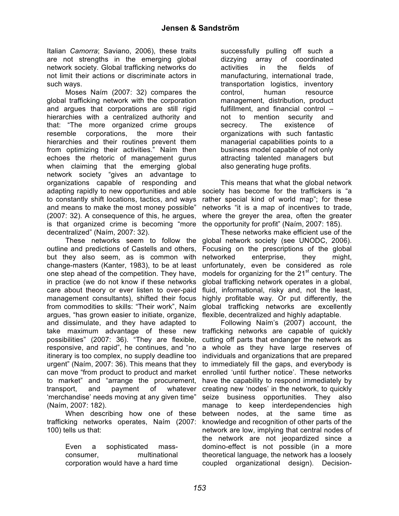Italian *Camorra*; Saviano, 2006), these traits are not strengths in the emerging global network society. Global trafficking networks do not limit their actions or discriminate actors in such ways.

Moses Naím (2007: 32) compares the global trafficking network with the corporation and argues that corporations are still rigid hierarchies with a centralized authority and that: "The more organized crime groups resemble corporations, the more their hierarchies and their routines prevent them from optimizing their activities." Naím then echoes the rhetoric of management gurus when claiming that the emerging global network society "gives an advantage to organizations capable of responding and adapting rapidly to new opportunities and able to constantly shift locations, tactics, and ways and means to make the most money possible" (2007: 32). A consequence of this, he argues, is that organized crime is becoming "more decentralized" (Naím, 2007: 32).

These networks seem to follow the outline and predictions of Castells and others, but they also seem, as is common with change-masters (Kanter, 1983), to be at least one step ahead of the competition. They have, in practice (we do not know if these networks care about theory or ever listen to over-paid management consultants), shifted their focus from commodities to skills: "Their work", Naím argues, "has grown easier to initiate, organize, and dissimulate, and they have adapted to take maximum advantage of these new possibilities" (2007: 36). "They are flexible, responsive, and rapid", he continues, and "no itinerary is too complex, no supply deadline too urgent" (Naím, 2007: 36). This means that they can move "from product to product and market to market" and "arrange the procurement, transport, and payment of whatever 'merchandise' needs moving at any given time" (Naím, 2007: 182).

When describing how one of these trafficking networks operates, Naím (2007: 100) tells us that:

> Even a sophisticated massconsumer, multinational corporation would have a hard time

successfully pulling off such a dizzying array of coordinated activities in the fields of manufacturing, international trade, transportation logistics, inventory control, human resource management, distribution, product fulfillment, and financial control – not to mention security and secrecy. The existence of organizations with such fantastic managerial capabilities points to a business model capable of not only attracting talented managers but also generating huge profits.

This means that what the global network society has become for the traffickers is "a rather special kind of world map"; for these networks "it is a map of incentives to trade, where the greyer the area, often the greater the opportunity for profit" (Naím, 2007: 185).

These networks make efficient use of the global network society (see UNODC, 2006). Focusing on the prescriptions of the global networked enterprise, they might, unfortunately, even be considered as role models for organizing for the 21<sup>st</sup> century. The global trafficking network operates in a global, fluid, informational, risky and, not the least, highly profitable way. Or put differently, the global trafficking networks are excellently flexible, decentralized and highly adaptable.

Following Naím's (2007) account, the trafficking networks are capable of quickly cutting off parts that endanger the network as a whole as they have large reserves of individuals and organizations that are prepared to immediately fill the gaps, and everybody is enrolled 'until further notice'. These networks have the capability to respond immediately by creating new 'nodes' in the network, to quickly seize business opportunities. They also manage to keep interdependencies high between nodes, at the same time as knowledge and recognition of other parts of the network are low, implying that central nodes of the network are not jeopardized since a domino-effect is not possible (in a more theoretical language, the network has a loosely coupled organizational design). Decision-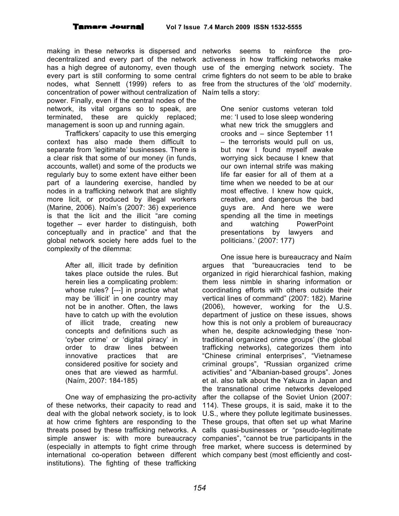#### **Tamara Journal Vol 7 Issue 7.4 March 2009 ISSN 1532-5555**

making in these networks is dispersed and networks seems to reinforce the prodecentralized and every part of the network activeness in how trafficking networks make has a high degree of autonomy, even though use of the emerging network society. The every part is still conforming to some central crime fighters do not seem to be able to brake nodes, what Sennett (1999) refers to as concentration of power without centralization of Naím tells a story: power. Finally, even if the central nodes of the network, its vital organs so to speak, are terminated, these are quickly replaced; management is soon up and running again.

Traffickers' capacity to use this emerging context has also made them difficult to separate from 'legitimate' businesses. There is a clear risk that some of our money (in funds, accounts, wallet) and some of the products we regularly buy to some extent have either been part of a laundering exercise, handled by nodes in a trafficking network that are slightly more licit, or produced by illegal workers (Marine, 2006). Naím's (2007: 36) experience is that the licit and the illicit "are coming together – ever harder to distinguish, both conceptually and in practice" and that the global network society here adds fuel to the complexity of the dilemma:

> After all, illicit trade by definition takes place outside the rules. But herein lies a complicating problem: whose rules? [---] in practice what may be 'illicit' in one country may not be in another. Often, the laws have to catch up with the evolution of illicit trade, creating new concepts and definitions such as 'cyber crime' or 'digital piracy' in order to draw lines between innovative practices that are considered positive for society and ones that are viewed as harmful. (Naím, 2007: 184-185)

One way of emphasizing the pro-activity of these networks, their capacity to read and deal with the global network society, is to look at how crime fighters are responding to the threats posed by these trafficking networks. A simple answer is: with more bureaucracy companies", "cannot be true participants in the (especially in attempts to fight crime through free market, where success is determined by international co-operation between different which company best (most efficiently and costinstitutions). The fighting of these trafficking

free from the structures of the 'old' modernity.

One senior customs veteran told me: 'I used to lose sleep wondering what new trick the smugglers and crooks and – since September 11 – the terrorists would pull on us, but now I found myself awake worrying sick because I knew that our own internal strife was making life far easier for all of them at a time when we needed to be at our most effective. I knew how quick, creative, and dangerous the bad guys are. And here we were spending all the time in meetings and watching PowerPoint presentations by lawyers and politicians.' (2007: 177)

One issue here is bureaucracy and Naím argues that "bureaucracies tend to be organized in rigid hierarchical fashion, making them less nimble in sharing information or coordinating efforts with others outside their vertical lines of command" (2007: 182). Marine (2006), however, working for the U.S. department of justice on these issues, shows how this is not only a problem of bureaucracy when he, despite acknowledging these 'nontraditional organized crime groups' (the global trafficking networks), categorizes them into "Chinese criminal enterprises", "Vietnamese criminal groups", "Russian organized crime activities" and "Albanian-based groups". Jones et al. also talk about the Yakuza in Japan and the transnational crime networks developed after the collapse of the Soviet Union (2007: 114). These groups, it is said, make it to the U.S., where they pollute legitimate businesses. These groups, that often set up what Marine calls quasi-businesses or "pseudo-legitimate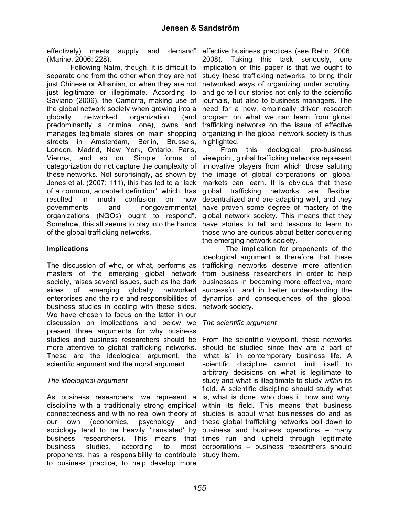effectively) meets supply and demand" effective business practices (see Rehn, 2006, (Marine, 2006: 228).

Following Naím, though, it is difficult to separate one from the other when they are not just Chinese or Albanian, or when they are not just legitimate or illegitimate. According to Saviano (2006), the Camorra, making use of journals, but also to business managers. The the global network society when growing into a need for a new, empirically driven research globally networked organization (and predominantly a criminal one), owns and manages legitimate stores on main shopping streets in Amsterdam, Berlin, Brussels, London, Madrid, New York, Ontario, Paris, Vienna, and so on. Simple forms of categorization do not capture the complexity of these networks. Not surprisingly, as shown by Jones et al. (2007: 111), this has led to a "lack markets can learn. It is obvious that these of a common, accepted definition", which "has global trafficking networks are flexible, resulted in much confusion on how governments and nongovernmental organizations (NGOs) ought to respond". Somehow, this all seems to play into the hands have stories to tell and lessons to learn to of the global trafficking networks.

## **Implications**

The discussion of who, or what, performs as trafficking networks deserve more attention masters of the emerging global network from business researchers in order to help society, raises several issues, such as the dark sides of emerging globally networked enterprises and the role and responsibilities of dynamics and consequences of the global business studies in dealing with these sides. We have chosen to focus on the latter in our discussion on implications and below we *The scientific argument* present three arguments for why business studies and business researchers should be From the scientific viewpoint, these networks more attentive to global trafficking networks. These are the ideological argument, the scientific argument and the moral argument.

## *The ideological argument*

As business researchers, we represent a discipline with a traditionally strong empirical connectedness and with no real own theory of our own (economics, psychology sociology tend to be heavily 'translated' by business and business operations – many business researchers). This means that times run and upheld through legitimate business studies, according to proponents, has a responsibility to contribute study them.to business practice, to help develop more

2008). Taking this task seriously, one implication of this paper is that we ought to study these trafficking networks, to bring their networked ways of organizing under scrutiny, and go tell our stories not only to the scientific program on what we can learn from global trafficking networks on the issue of effective organizing in the global network society is thus highlighted.

From this ideological, pro-business viewpoint, global trafficking networks represent innovative players from which those saluting the image of global corporations on global decentralized and are adapting well, and they have proven some degree of mastery of the global network society. This means that they those who are curious about better conquering the emerging network society.

The implication for proponents of the ideological argument is therefore that these businesses in becoming more effective, more successful, and in better understanding the network society.

should be studied since they are a part of 'what is' in contemporary business life. A scientific discipline cannot limit itself to arbitrary decisions on what is legitimate to study and what is illegitimate to study *within* its field. A scientific discipline should study what is, what is done, who does it, how and why, within its field. This means that business studies is about what businesses do and as and these global trafficking networks boil down to most corporations – business researchers should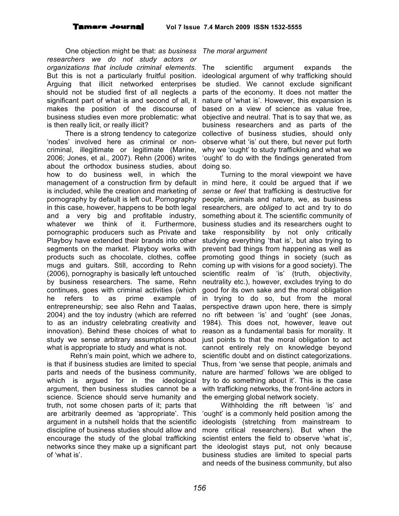One objection might be that: *as business The moral argument researchers we do not study actors or organizations that include criminal elements*. But this is not a particularly fruitful position. Arguing that illicit networked enterprises should not be studied first of all neglects a significant part of what is and second of all, it makes the position of the discourse of business studies even more problematic: what is then really licit, or really illicit?

'nodes' involved here as criminal or noncriminal, illegitimate or legitimate (Marine, 2006; Jones, et al., 2007). Rehn (2006) writes about the orthodox business studies, about doing so. how to do business well, in which the management of a construction firm by default in mind here, it could be argued that if we is included, while the creation and marketing of pornography by default is left out. Pornography in this case, however, happens to be both legal and a very big and profitable industry, whatever we think of it. Furthermore, pornographic producers such as Private and Playboy have extended their brands into other segments on the market. Playboy works with products such as chocolate, clothes, coffee mugs and guitars. Still, according to Rehn (2006), pornography is basically left untouched by business researchers. The same, Rehn continues, goes with criminal activities (which he refers to as prime example of entrepreneurship; see also Rehn and Taalas, 2004) and the toy industry (which are referred to as an industry celebrating creativity and innovation). Behind these choices of what to study we sense arbitrary assumptions about just points to that the moral obligation to act what is appropriate to study and what is not.

Rehn's main point, which we adhere to, is that if business studies are limited to special parts and needs of the business community, which is argued for in the ideological argument, then business studies cannot be a science. Science should serve humanity and truth, not some chosen parts of it; parts that are arbitrarily deemed as 'appropriate'. This argument in a nutshell holds that the scientific discipline of business studies should allow and encourage the study of the global trafficking networks since they make up a significant part of 'what is'.

There is a strong tendency to categorize collective of business studies, should only scientific argument expands the ideological argument of why trafficking should be studied. We cannot exclude significant parts of the economy. It does not matter the nature of 'what is'. However, this expansion is based on a view of science as value free, objective and neutral. That is to say that we, as business researchers and as parts of the observe what 'is' out there, but never put forth why we 'ought' to study trafficking and what we 'ought' to do with the findings generated from

Turning to the moral viewpoint we have *sense* or *feel* that trafficking is destructive for people, animals and nature, we, as business researchers, are *obliged* to act and try to do something about it. The scientific community of business studies and its researchers ought to take responsibility by not only critically studying everything 'that is', but also trying to prevent bad things from happening as well as promoting good things in society (such as coming up with visions for a good society). The scientific realm of 'is' (truth, objectivity, neutrality etc.), however, excludes trying to do good for its own sake and the moral obligation in trying to do so, but from the moral perspective drawn upon here, there is simply no rift between 'is' and 'ought' (see Jonas, 1984). This does not, however, leave out reason as a fundamental basis for morality. It cannot entirely rely on knowledge beyond scientific doubt and on distinct categorizations. Thus, from 'we sense that people, animals and nature are harmed' follows 'we are obliged to try to do something about it'. This is the case with trafficking networks, the front-line actors in the emerging global network society.

Withholding the rift between 'is' and 'ought' is a commonly held position among the ideologists (stretching from mainstream to more critical researchers). But when the scientist enters the field to observe 'what is', the ideologist stays put, not only because business studies are limited to special parts and needs of the business community, but also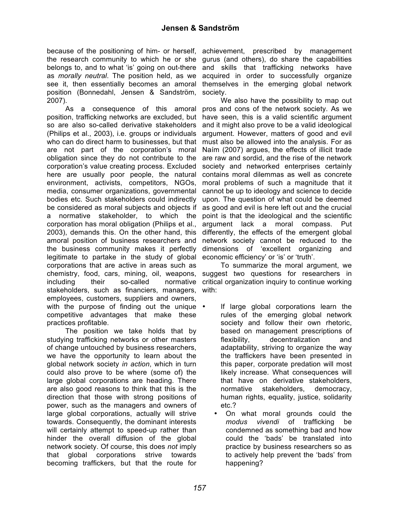because of the positioning of him- or herself, achievement, prescribed by management the research community to which he or she gurus (and others), do share the capabilities belongs to, and to what 'is' going on out-there and skills that trafficking networks have as *morally neutral*. The position held, as we see it, then essentially becomes an amoral themselves in the emerging global network position (Bonnedahl, Jensen & Sandström, society. 2007).

As a consequence of this amoral position, trafficking networks are excluded, but so are also so-called derivative stakeholders (Philips et al., 2003), i.e. groups or individuals who can do direct harm to businesses, but that are not part of the corporation's moral obligation since they do not contribute to the corporation's value creating process. Excluded here are usually poor people, the natural environment, activists, competitors, NGOs, media, consumer organizations, governmental bodies etc. Such stakeholders could indirectly be considered as moral subjects and objects if a normative stakeholder, to which the corporation has moral obligation (Philips et al., 2003), demands this. On the other hand, this amoral position of business researchers and the business community makes it perfectly legitimate to partake in the study of global economic efficiency' or 'is' or 'truth'. corporations that are active in areas such as chemistry, food, cars, mining, oil, weapons, including their so-called normative stakeholders, such as financiers, managers, employees, customers, suppliers and owners, with the purpose of finding out the unique  $\cdot$ competitive advantages that make these practices profitable.

The position we take holds that by studying trafficking networks or other masters of change untouched by business researchers, we have the opportunity to learn about the global network society *in action*, which in turn could also prove to be where (some of) the large global corporations are heading. There are also good reasons to think that this is the direction that those with strong positions of power, such as the managers and owners of large global corporations, actually will strive towards. Consequently, the dominant interests will certainly attempt to speed-up rather than hinder the overall diffusion of the global network society. Of course, this does *not* imply that global corporations strive towards becoming traffickers, but that the route for

acquired in order to successfully organize

We also have the possibility to map out pros and cons of the network society. As we have seen, this is a valid scientific argument and it might also prove to be a valid ideological argument. However, matters of good and evil must also be allowed into the analysis. For as Naím (2007) argues, the effects of illicit trade are raw and sordid, and the rise of the network society and networked enterprises certainly contains moral dilemmas as well as concrete moral problems of such a magnitude that it cannot be up to ideology and science to decide upon. The question of what could be deemed as good and evil is here left out and the crucial point is that the ideological and the scientific argument lack a moral compass. Put differently, the effects of the emergent global network society cannot be reduced to the dimensions of 'excellent organizing and

To summarize the moral argument, we suggest two questions for researchers in critical organization inquiry to continue working with:

- If large global corporations learn the rules of the emerging global network society and follow their own rhetoric, based on management prescriptions of flexibility, decentralization and adaptability, striving to organize the way the traffickers have been presented in this paper, corporate predation will most likely increase. What consequences will that have on derivative stakeholders, normative stakeholders, democracy, human rights, equality, justice, solidarity etc.?
	- On what moral grounds could the *modus vivendi* of trafficking be condemned as something bad and how could the 'bads' be translated into practice by business researchers so as to actively help prevent the 'bads' from happening?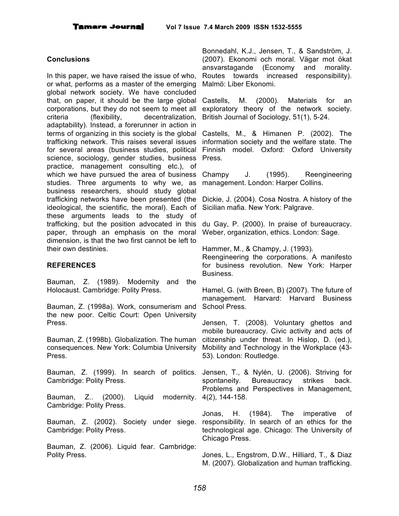#### **Conclusions**

In this paper, we have raised the issue of who, or what, performs as a master of the emerging global network society. We have concluded that, on paper, it should be the large global corporations, but they do not seem to meet all criteria (flexibility, decentralization, adaptability). Instead, a forerunner in action in terms of organizing in this society is the global Castells, M., & Himanen P. (2002). The trafficking network. This raises several issues for several areas (business studies, political science, sociology, gender studies, business practice, management consulting etc.), of which we have pursued the area of business Champy studies. Three arguments to why we, as business researchers, should study global trafficking networks have been presented (the ideological, the scientific, the moral). Each of these arguments leads to the study of trafficking, but the position advocated in this paper, through an emphasis on the moral dimension, is that the two first cannot be left to their own destinies.

#### **REFERENCES**

Bauman, Z. (1989). Modernity and the Holocaust. Cambridge: Polity Press.

Bauman, Z. (1998a). Work, consumerism and the new poor. Celtic Court: Open University Press.

Bauman, Z. (1998b). Globalization. The human consequences. New York: Columbia University Press.

Bauman, Z. (1999). In search of politics. Jensen, T., & Nylén, U. (2006). Striving for Cambridge: Polity Press.

Bauman, Z.. (2000). Liquid Cambridge: Polity Press.

Bauman, Z. (2002). Society under siege. responsibility. In search of an ethics for the Cambridge: Polity Press.

Bauman, Z. (2006). Liquid fear. Cambridge: Polity Press.

Bonnedahl, K.J., Jensen, T., & Sandström, J. (2007). Ekonomi och moral. Vägar mot ökat ansvarstagande (Economy and morality. Routes towards increased responsibility). Malmö: Liber Ekonomi.

Castells, M. (2000). Materials for an exploratory theory of the network society. British Journal of Sociology, 51(1), 5-24.

information society and the welfare state. The Finnish model. Oxford: Oxford University Press.

J. (1995). Reengineering management. London: Harper Collins.

Dickie, J. (2004). Cosa Nostra. A history of the Sicilian mafia. New York: Palgrave.

du Gay, P. (2000). In praise of bureaucracy. Weber, organization, ethics. London: Sage.

Hammer, M., & Champy, J. (1993).

Reengineering the corporations. A manifesto for business revolution. New York: Harper Business.

Hamel, G. (with Breen, B) (2007). The future of management. Harvard: Harvard Business School Press.

Jensen, T. (2008). Voluntary ghettos and mobile bureaucracy. Civic activity and acts of citizenship under threat. In Hislop, D. (ed.), Mobility and Technology in the Workplace (43- 53). London: Routledge.

spontaneity. Bureaucracy strikes back. Problems and Perspectives in Management, modernity. 4(2), 144-158.

> Jonas, H. (1984). The imperative of technological age. Chicago: The University of Chicago Press.

> Jones, L., Engstrom, D.W., Hilliard, T., & Diaz M. (2007). Globalization and human trafficking.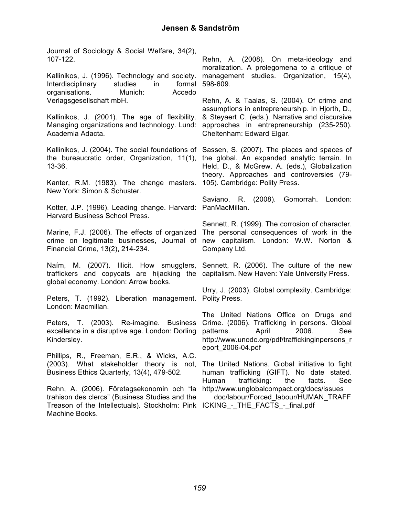Journal of Sociology & Social Welfare, 34(2), 107-122.

Kallinikos, J. (1996). Technology and society. Interdisciplinary studies in formal organisations. Munich: Accedo Verlagsgesellschaft mbH.

Kallinikos, J. (2001). The age of flexibility. Managing organizations and technology. Lund: approaches in entrepreneurship (235-250)*.* Academia Adacta.

Kallinikos, J. (2004). The social foundations of Sassen, S. (2007). The places and spaces of the bureaucratic order, Organization, 11(1), the global. An expanded analytic terrain. In 13-36.

Kanter, R.M. (1983). The change masters. 105). Cambridge: Polity Press. New York: Simon & Schuster.

Kotter, J.P. (1996). Leading change. Harvard: PanMacMillan. Harvard Business School Press.

Marine, F.J. (2006). The effects of organized The personal consequences of work in the crime on legitimate businesses, Journal of new capitalism. London: W.W. Norton & Financial Crime, 13(2), 214-234.

Naím, M. (2007). Illicit. How smugglers, Sennett, R. (2006). The culture of the new traffickers and copycats are hijacking the capitalism. New Haven: Yale University Press. global economy. London: Arrow books.

Peters, T. (1992). Liberation management. Polity Press. London: Macmillan.

Peters, T. (2003). Re-imagine. Business excellence in a disruptive age. London: Dorling Kindersley.

Phillips, R., Freeman, E.R., & Wicks, A.C. (2003). What stakeholder theory is not, Business Ethics Quarterly, 13(4), 479-502.

Rehn, A. (2006). Företagsekonomin och "la http://www.unglobalcompact.org/docs/issues trahison des clercs" (Business Studies and the Treason of the Intellectuals). Stockholm: Pink ICKING\_-\_THE\_FACTS\_-\_final.pdfMachine Books.

Rehn, A. (2008). On meta-ideology and moralization. A prolegomena to a critique of management studies. Organization, 15(4), 598-609.

Rehn, A. & Taalas, S. (2004). Of crime and assumptions in entrepreneurship. In Hjorth, D., & Steyaert C. (eds.), Narrative and discursive Cheltenham: Edward Elgar.

Held, D., & McGrew. A. (eds.), Globalization theory. Approaches and controversies (79-

Saviano, R. (2008). Gomorrah. London:

Sennett, R. (1999). The corrosion of character. Company Ltd.

Urry, J. (2003). Global complexity. Cambridge:

The United Nations Office on Drugs and Crime. (2006). Trafficking in persons. Global patterns. April 2006. See http://www.unodc.org/pdf/traffickinginpersons\_r eport\_2006-04.pdf

The United Nations. Global initiative to fight human trafficking (GIFT). No date stated. Human trafficking: the facts. See

doc/labour/Forced\_labour/HUMAN\_TRAFF